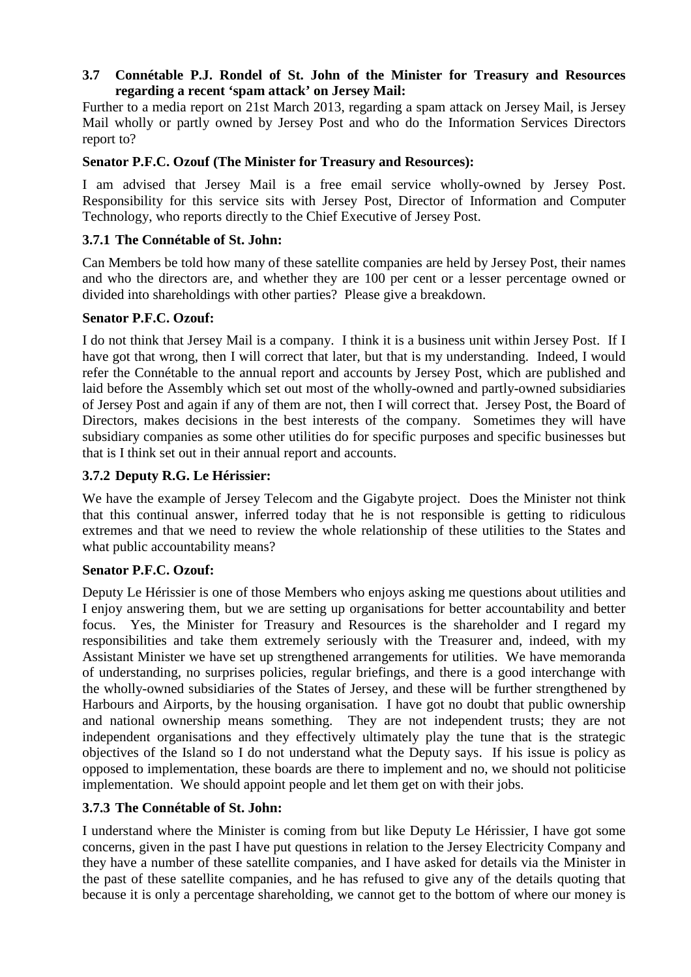### **3.7 Connétable P.J. Rondel of St. John of the Minister for Treasury and Resources regarding a recent 'spam attack' on Jersey Mail:**

Further to a media report on 21st March 2013, regarding a spam attack on Jersey Mail, is Jersey Mail wholly or partly owned by Jersey Post and who do the Information Services Directors report to?

#### **Senator P.F.C. Ozouf (The Minister for Treasury and Resources):**

I am advised that Jersey Mail is a free email service wholly-owned by Jersey Post. Responsibility for this service sits with Jersey Post, Director of Information and Computer Technology, who reports directly to the Chief Executive of Jersey Post.

#### **3.7.1 The Connétable of St. John:**

Can Members be told how many of these satellite companies are held by Jersey Post, their names and who the directors are, and whether they are 100 per cent or a lesser percentage owned or divided into shareholdings with other parties? Please give a breakdown.

#### **Senator P.F.C. Ozouf:**

I do not think that Jersey Mail is a company. I think it is a business unit within Jersey Post. If I have got that wrong, then I will correct that later, but that is my understanding. Indeed, I would refer the Connétable to the annual report and accounts by Jersey Post, which are published and laid before the Assembly which set out most of the wholly-owned and partly-owned subsidiaries of Jersey Post and again if any of them are not, then I will correct that. Jersey Post, the Board of Directors, makes decisions in the best interests of the company. Sometimes they will have subsidiary companies as some other utilities do for specific purposes and specific businesses but that is I think set out in their annual report and accounts.

#### **3.7.2 Deputy R.G. Le Hérissier:**

We have the example of Jersey Telecom and the Gigabyte project. Does the Minister not think that this continual answer, inferred today that he is not responsible is getting to ridiculous extremes and that we need to review the whole relationship of these utilities to the States and what public accountability means?

#### **Senator P.F.C. Ozouf:**

Deputy Le Hérissier is one of those Members who enjoys asking me questions about utilities and I enjoy answering them, but we are setting up organisations for better accountability and better focus. Yes, the Minister for Treasury and Resources is the shareholder and I regard my responsibilities and take them extremely seriously with the Treasurer and, indeed, with my Assistant Minister we have set up strengthened arrangements for utilities. We have memoranda of understanding, no surprises policies, regular briefings, and there is a good interchange with the wholly-owned subsidiaries of the States of Jersey, and these will be further strengthened by Harbours and Airports, by the housing organisation. I have got no doubt that public ownership and national ownership means something. They are not independent trusts; they are not independent organisations and they effectively ultimately play the tune that is the strategic objectives of the Island so I do not understand what the Deputy says. If his issue is policy as opposed to implementation, these boards are there to implement and no, we should not politicise implementation. We should appoint people and let them get on with their jobs.

#### **3.7.3 The Connétable of St. John:**

I understand where the Minister is coming from but like Deputy Le Hérissier, I have got some concerns, given in the past I have put questions in relation to the Jersey Electricity Company and they have a number of these satellite companies, and I have asked for details via the Minister in the past of these satellite companies, and he has refused to give any of the details quoting that because it is only a percentage shareholding, we cannot get to the bottom of where our money is